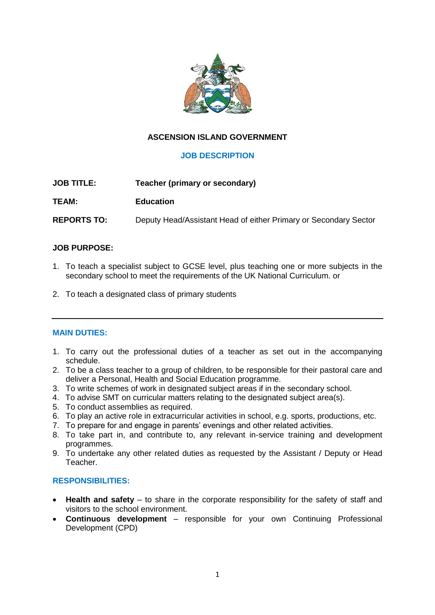

# **ASCENSION ISLAND GOVERNMENT**

## **JOB DESCRIPTION**

| JOB TITLE:         | Teacher (primary or secondary)                                   |
|--------------------|------------------------------------------------------------------|
| TEAM:              | <b>Education</b>                                                 |
| <b>REPORTS TO:</b> | Deputy Head/Assistant Head of either Primary or Secondary Sector |

## **JOB PURPOSE:**

- 1. To teach a specialist subject to GCSE level, plus teaching one or more subjects in the secondary school to meet the requirements of the UK National Curriculum. or
- 2. To teach a designated class of primary students

## **MAIN DUTIES:**

- 1. To carry out the professional duties of a teacher as set out in the accompanying schedule.
- 2. To be a class teacher to a group of children, to be responsible for their pastoral care and deliver a Personal, Health and Social Education programme.
- 3. To write schemes of work in designated subject areas if in the secondary school.
- 4. To advise SMT on curricular matters relating to the designated subject area(s).
- 5. To conduct assemblies as required.
- 6. To play an active role in extracurricular activities in school, e.g. sports, productions, etc.
- 7. To prepare for and engage in parents' evenings and other related activities.
- 8. To take part in, and contribute to, any relevant in-service training and development programmes.
- 9. To undertake any other related duties as requested by the Assistant / Deputy or Head Teacher.

# **RESPONSIBILITIES:**

- **Health and safety** to share in the corporate responsibility for the safety of staff and visitors to the school environment.
- **Continuous development** responsible for your own Continuing Professional Development (CPD)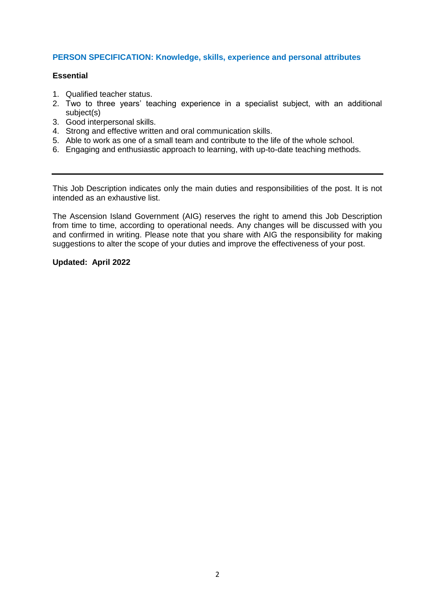## **PERSON SPECIFICATION: Knowledge, skills, experience and personal attributes**

## **Essential**

- 1. Qualified teacher status.
- 2. Two to three years' teaching experience in a specialist subject, with an additional subject(s)
- 3. Good interpersonal skills.
- 4. Strong and effective written and oral communication skills.
- 5. Able to work as one of a small team and contribute to the life of the whole school.
- 6. Engaging and enthusiastic approach to learning, with up-to-date teaching methods.

This Job Description indicates only the main duties and responsibilities of the post. It is not intended as an exhaustive list.

The Ascension Island Government (AIG) reserves the right to amend this Job Description from time to time, according to operational needs. Any changes will be discussed with you and confirmed in writing. Please note that you share with AIG the responsibility for making suggestions to alter the scope of your duties and improve the effectiveness of your post.

## **Updated: April 2022**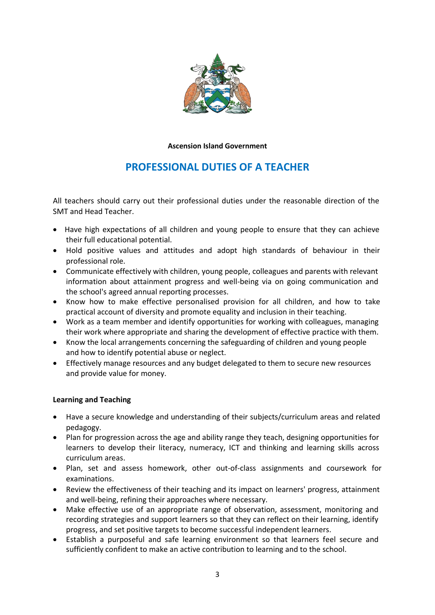

#### **Ascension Island Government**

# **PROFESSIONAL DUTIES OF A TEACHER**

All teachers should carry out their professional duties under the reasonable direction of the SMT and Head Teacher.

- Have high expectations of all children and young people to ensure that they can achieve their full educational potential.
- Hold positive values and attitudes and adopt high standards of behaviour in their professional role.
- Communicate effectively with children, young people, colleagues and parents with relevant information about attainment progress and well-being via on going communication and the school's agreed annual reporting processes.
- Know how to make effective personalised provision for all children, and how to take practical account of diversity and promote equality and inclusion in their teaching.
- Work as a team member and identify opportunities for working with colleagues, managing their work where appropriate and sharing the development of effective practice with them.
- Know the local arrangements concerning the safeguarding of children and young people and how to identify potential abuse or neglect.
- Effectively manage resources and any budget delegated to them to secure new resources and provide value for money.

#### **Learning and Teaching**

- Have a secure knowledge and understanding of their subjects/curriculum areas and related pedagogy.
- Plan for progression across the age and ability range they teach, designing opportunities for learners to develop their literacy, numeracy, ICT and thinking and learning skills across curriculum areas.
- Plan, set and assess homework, other out-of-class assignments and coursework for examinations.
- Review the effectiveness of their teaching and its impact on learners' progress, attainment and well-being, refining their approaches where necessary.
- Make effective use of an appropriate range of observation, assessment, monitoring and recording strategies and support learners so that they can reflect on their learning, identify progress, and set positive targets to become successful independent learners.
- Establish a purposeful and safe learning environment so that learners feel secure and sufficiently confident to make an active contribution to learning and to the school.